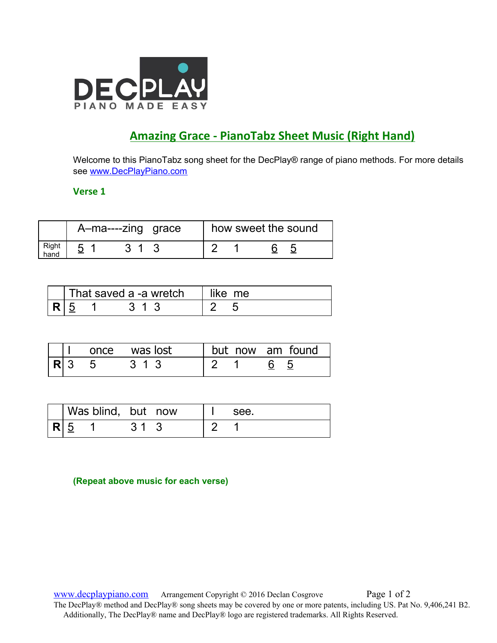

# **Amazing Grace - PianoTabz Sheet Music (Right Hand)**

Welcome to this PianoTabz song sheet for the DecPlay® range of piano methods. For more details see [www.DecPlayPiano.com](http://www.decplaypiano.com/)

## **Verse 1**

|               | A-ma----zing grace |  |  | how sweet the sound |  |
|---------------|--------------------|--|--|---------------------|--|
| Right<br>hand |                    |  |  |                     |  |

|  | That saved a -a wretch | like me |  |  |
|--|------------------------|---------|--|--|
|  |                        |         |  |  |

|         |  | once was lost | but now am found |
|---------|--|---------------|------------------|
| $ R $ 3 |  | 313           |                  |

|     | Was blind, but now |  | see. |
|-----|--------------------|--|------|
| R 5 |                    |  |      |

**(Repeat above music for each verse)**

[www.decplaypiano.com](http://www.decplaypiano.com/) Arrangement Copyright © 2016 Declan Cosgrove Page 1 of 2 The DecPlay® method and DecPlay® song sheets may be covered by one or more patents, including US. Pat No. 9,406,241 B2. Additionally, The DecPlay® name and DecPlay® logo are registered trademarks. All Rights Reserved.